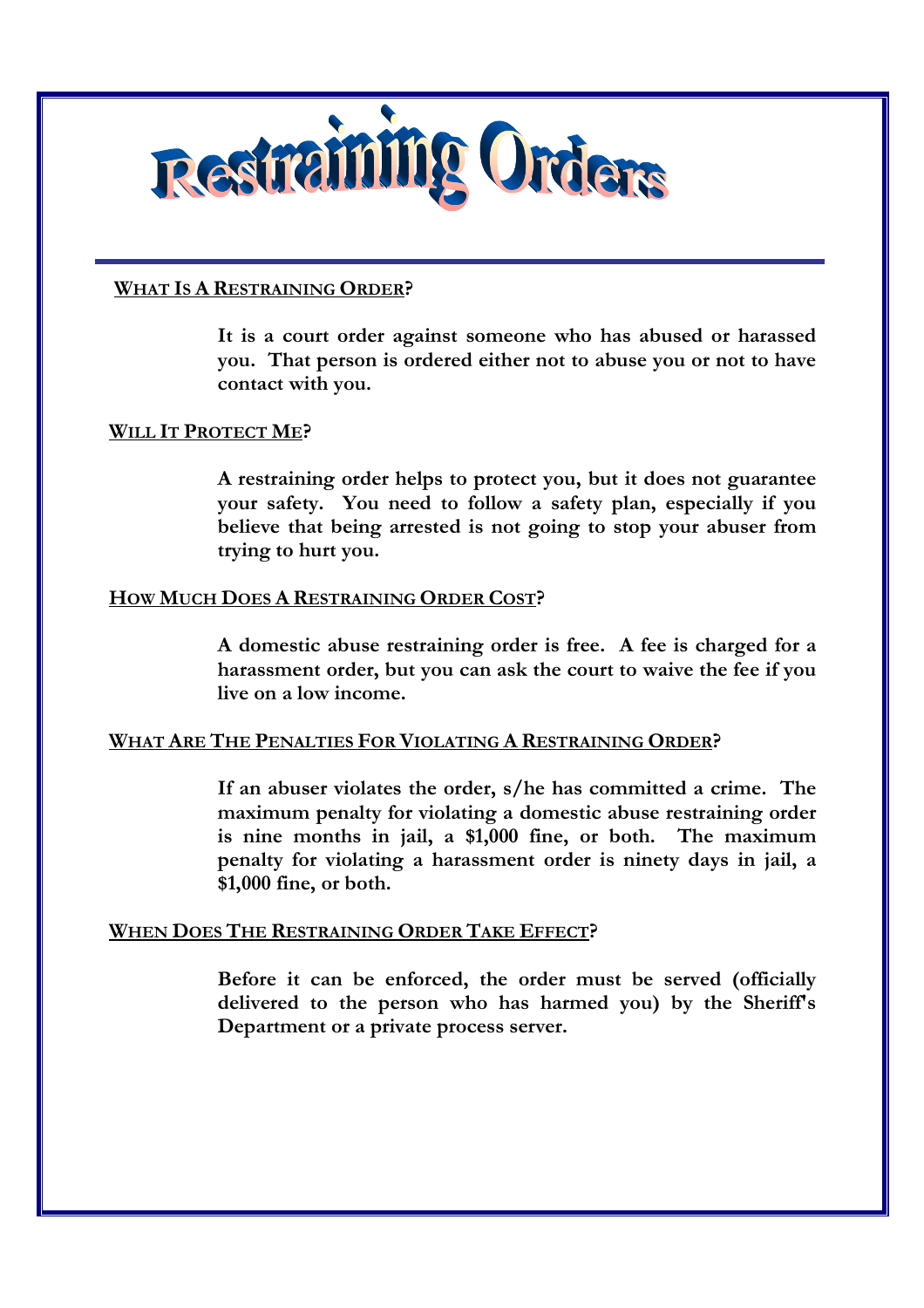

# **WHAT IS A RESTRAINING ORDER?**

 **It is a court order against someone who has abused or harassed you. That person is ordered either not to abuse you or not to have contact with you.** 

# **WILL IT PROTECT ME?**

 **A restraining order helps to protect you, but it does not guarantee your safety. You need to follow a safety plan, especially if you believe that being arrested is not going to stop your abuser from trying to hurt you.** 

# **HOW MUCH DOES A RESTRAINING ORDER COST?**

 **A domestic abuse restraining order is free. A fee is charged for a harassment order, but you can ask the court to waive the fee if you live on a low income.** 

### **WHAT ARE THE PENALTIES FOR VIOLATING A RESTRAINING ORDER?**

 **If an abuser violates the order, s/he has committed a crime. The maximum penalty for violating a domestic abuse restraining order is nine months in jail, a \$1,000 fine, or both. The maximum penalty for violating a harassment order is ninety days in jail, a \$1,000 fine, or both.** 

# **WHEN DOES THE RESTRAINING ORDER TAKE EFFECT?**

 **Before it can be enforced, the order must be served (officially delivered to the person who has harmed you) by the Sheriff's Department or a private process server.**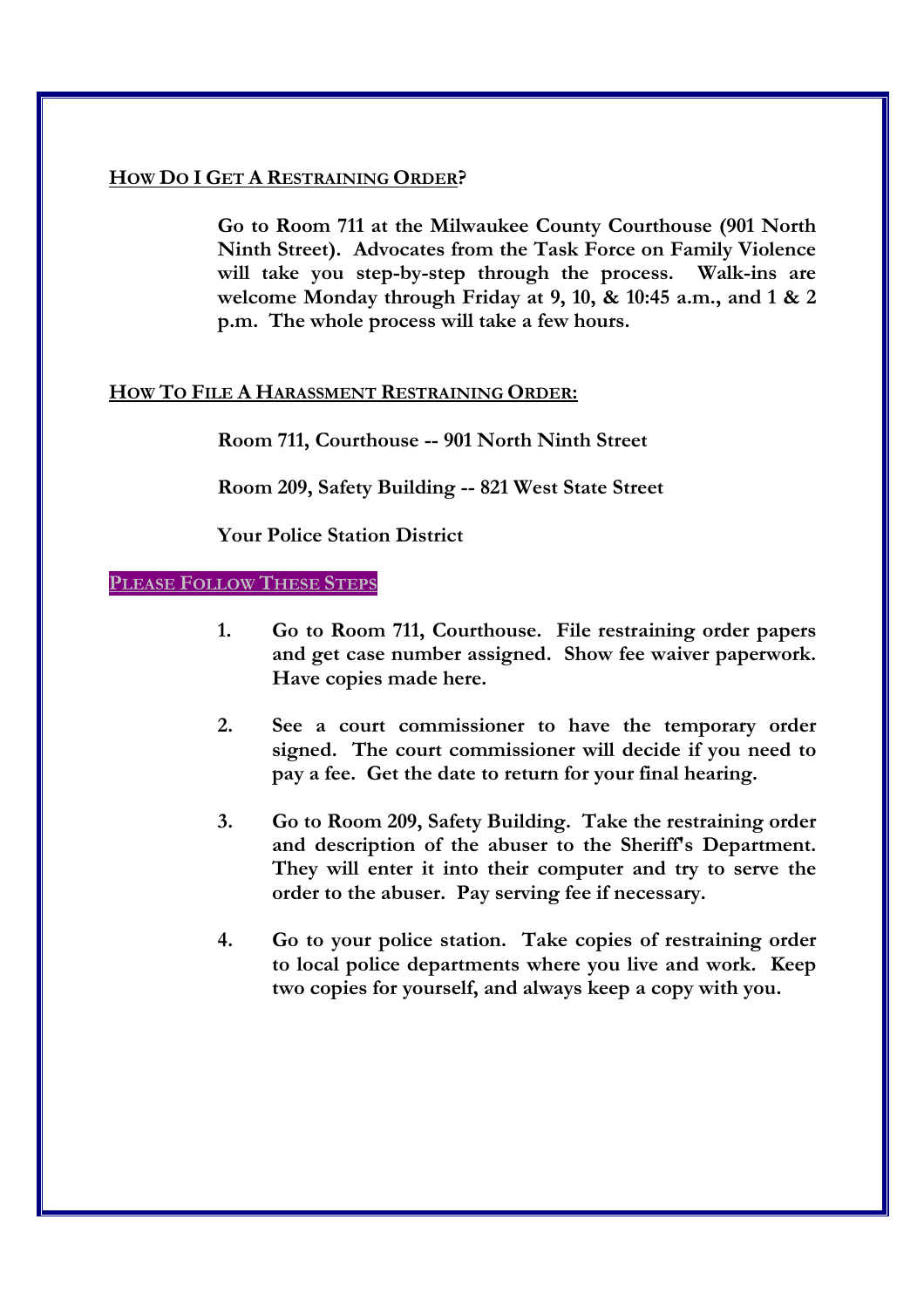# **HOW DO I GET A RESTRAINING ORDER?**

 **Go to Room 711 at the Milwaukee County Courthouse (901 North Ninth Street). Advocates from the Task Force on Family Violence will take you step-by-step through the process. Walk-ins are welcome Monday through Friday at 9, 10, & 10:45 a.m., and 1 & 2 p.m. The whole process will take a few hours.** 

# **HOW TO FILE A HARASSMENT RESTRAINING ORDER:**

 **Room 711, Courthouse -- 901 North Ninth Street** 

 **Room 209, Safety Building -- 821 West State Street**

 **Your Police Station District** 

### **PLEASE FOLLOW THESE STEPS**

- **1. Go to Room 711, Courthouse. File restraining order papers and get case number assigned. Show fee waiver paperwork. Have copies made here.**
- **2. See a court commissioner to have the temporary order signed. The court commissioner will decide if you need to pay a fee. Get the date to return for your final hearing.**
- **3. Go to Room 209, Safety Building. Take the restraining order and description of the abuser to the Sheriff's Department. They will enter it into their computer and try to serve the order to the abuser. Pay serving fee if necessary.**
- **4. Go to your police station. Take copies of restraining order to local police departments where you live and work. Keep two copies for yourself, and always keep a copy with you.**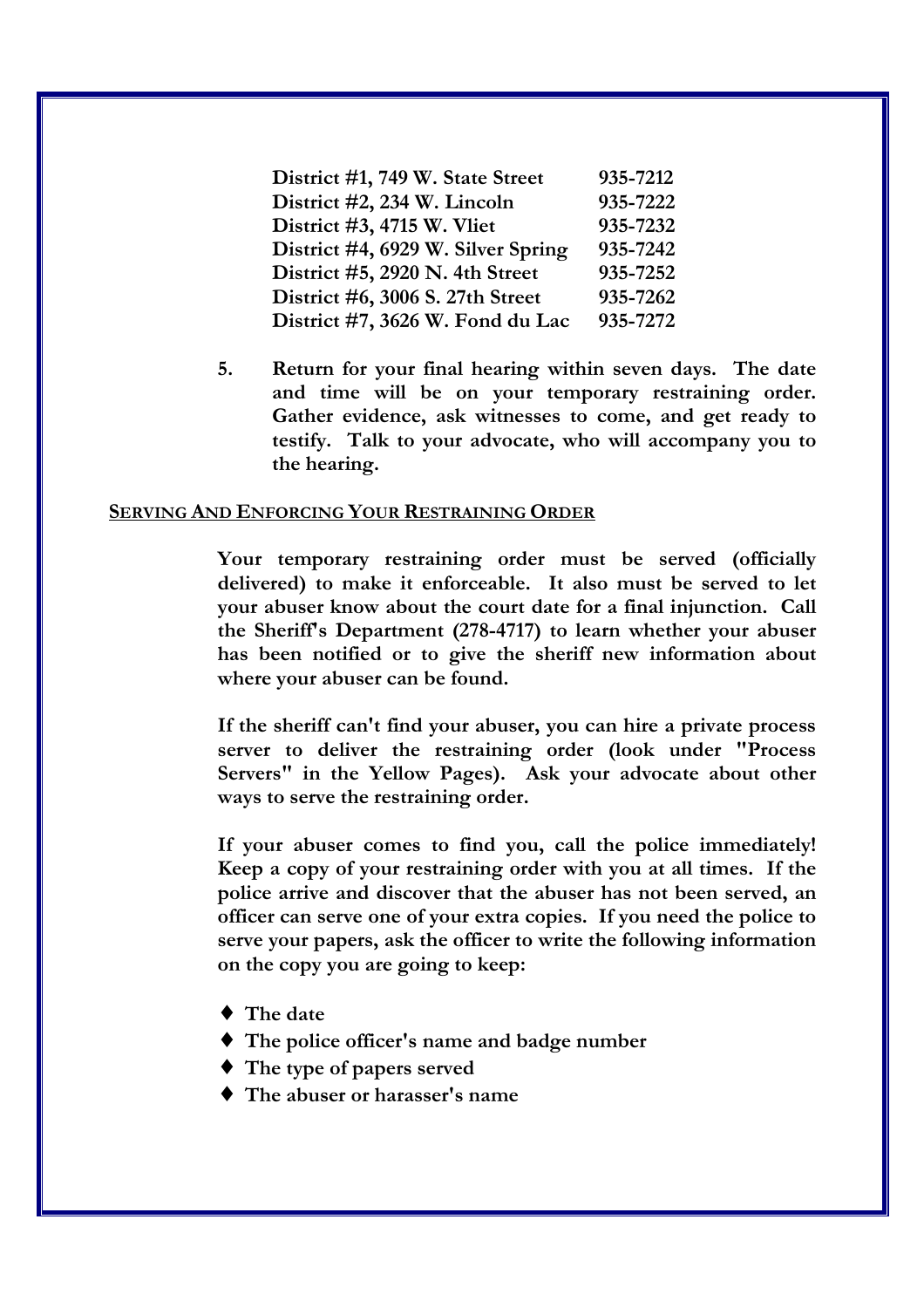| District #1, 749 W. State Street   | 935-7212 |
|------------------------------------|----------|
| District #2, 234 W. Lincoln        | 935-7222 |
| District #3, 4715 W. Vliet         | 935-7232 |
| District #4, 6929 W. Silver Spring | 935-7242 |
| District $#5$ , 2920 N. 4th Street | 935-7252 |
| District #6, 3006 S. 27th Street   | 935-7262 |
| District #7, 3626 W. Fond du Lac   | 935-7272 |

 **5. Return for your final hearing within seven days. The date and time will be on your temporary restraining order. Gather evidence, ask witnesses to come, and get ready to testify. Talk to your advocate, who will accompany you to the hearing.** 

#### **SERVING AND ENFORCING YOUR RESTRAINING ORDER**

**Your temporary restraining order must be served (officially delivered) to make it enforceable. It also must be served to let your abuser know about the court date for a final injunction. Call the Sheriff's Department (278-4717) to learn whether your abuser has been notified or to give the sheriff new information about where your abuser can be found.** 

**If the sheriff can't find your abuser, you can hire a private process server to deliver the restraining order (look under "Process Servers" in the Yellow Pages). Ask your advocate about other ways to serve the restraining order.** 

**If your abuser comes to find you, call the police immediately! Keep a copy of your restraining order with you at all times. If the police arrive and discover that the abuser has not been served, an officer can serve one of your extra copies. If you need the police to serve your papers, ask the officer to write the following information on the copy you are going to keep:** 

- ♦ **The date**
- ♦ **The police officer's name and badge number**
- ♦ **The type of papers served**
- ♦ **The abuser or harasser's name**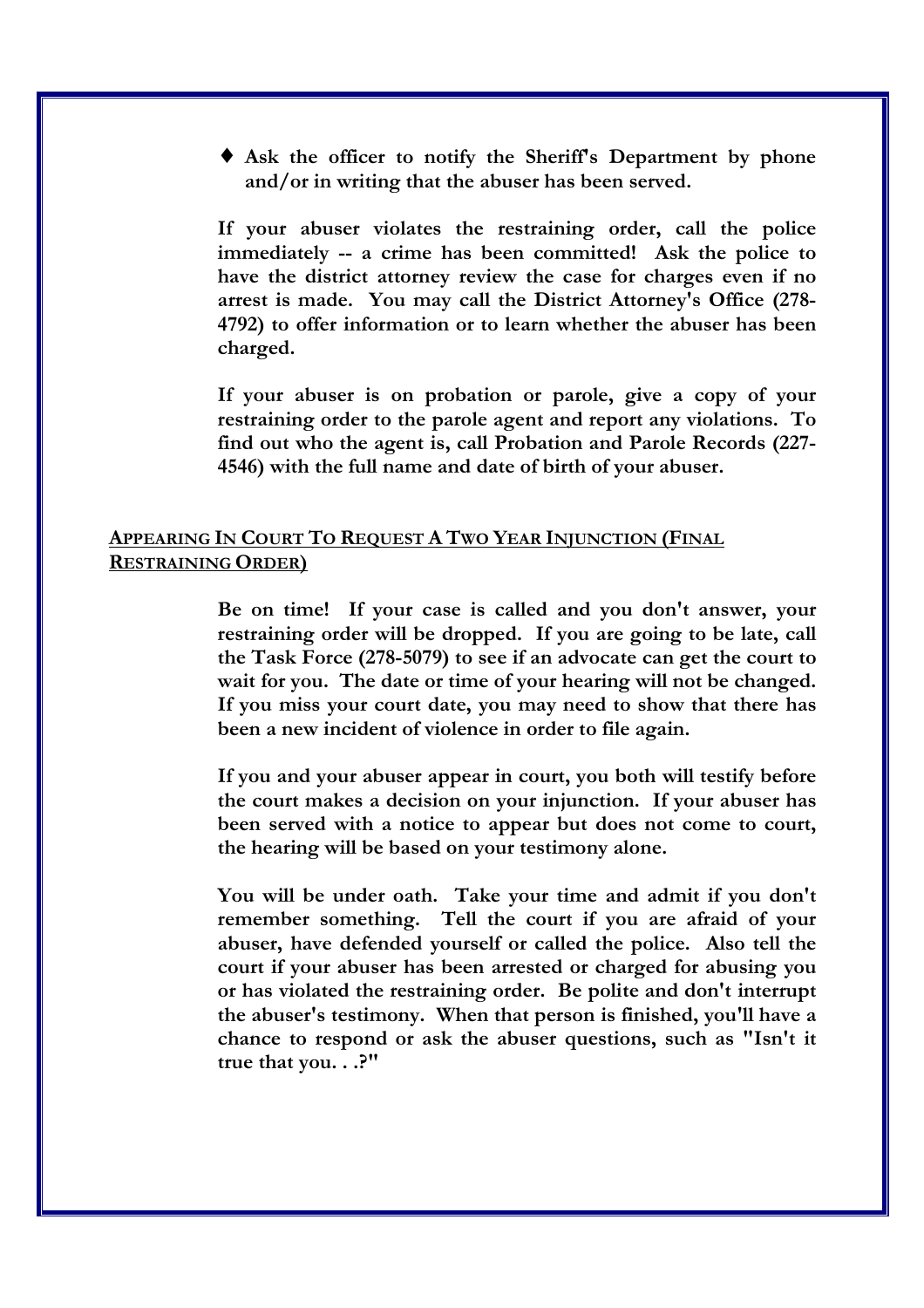♦ **Ask the officer to notify the Sheriff's Department by phone and/or in writing that the abuser has been served.** 

**If your abuser violates the restraining order, call the police immediately -- a crime has been committed! Ask the police to have the district attorney review the case for charges even if no arrest is made. You may call the District Attorney's Office (278- 4792) to offer information or to learn whether the abuser has been charged.** 

**If your abuser is on probation or parole, give a copy of your restraining order to the parole agent and report any violations. To find out who the agent is, call Probation and Parole Records (227- 4546) with the full name and date of birth of your abuser.** 

# **APPEARING IN COURT TO REQUEST A TWO YEAR INJUNCTION (FINAL RESTRAINING ORDER)**

**Be on time! If your case is called and you don't answer, your restraining order will be dropped. If you are going to be late, call the Task Force (278-5079) to see if an advocate can get the court to wait for you. The date or time of your hearing will not be changed. If you miss your court date, you may need to show that there has been a new incident of violence in order to file again.** 

**If you and your abuser appear in court, you both will testify before the court makes a decision on your injunction. If your abuser has been served with a notice to appear but does not come to court, the hearing will be based on your testimony alone.** 

**You will be under oath. Take your time and admit if you don't remember something. Tell the court if you are afraid of your abuser, have defended yourself or called the police. Also tell the court if your abuser has been arrested or charged for abusing you or has violated the restraining order. Be polite and don't interrupt the abuser's testimony. When that person is finished, you'll have a chance to respond or ask the abuser questions, such as "Isn't it true that you. . .?"**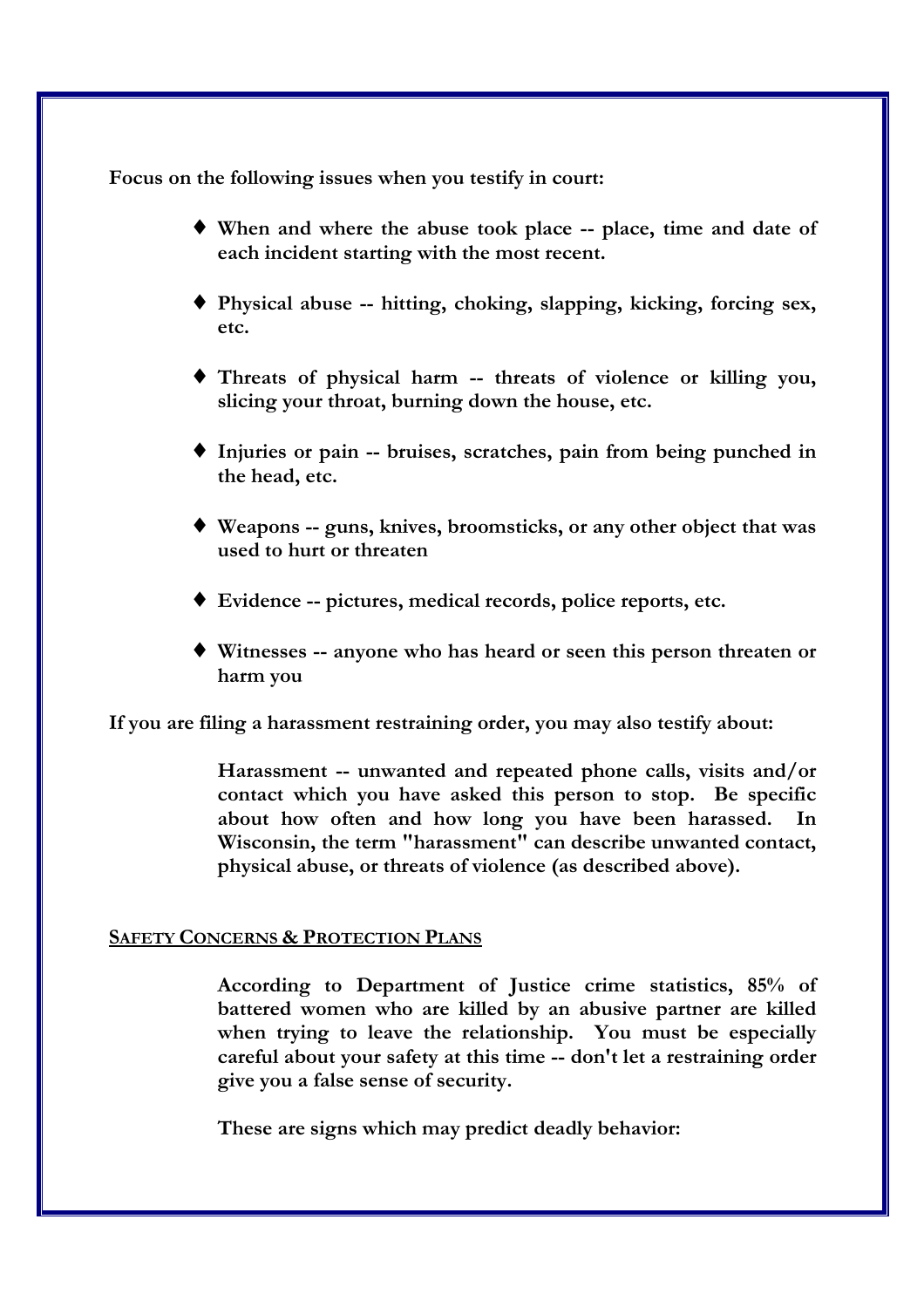**Focus on the following issues when you testify in court:** 

- ♦ **When and where the abuse took place -- place, time and date of each incident starting with the most recent.**
- ♦ **Physical abuse -- hitting, choking, slapping, kicking, forcing sex, etc.**
- ♦ **Threats of physical harm -- threats of violence or killing you, slicing your throat, burning down the house, etc.**
- ♦ **Injuries or pain -- bruises, scratches, pain from being punched in the head, etc.**
- ♦ **Weapons -- guns, knives, broomsticks, or any other object that was used to hurt or threaten**
- ♦ **Evidence -- pictures, medical records, police reports, etc.**
- ♦ **Witnesses -- anyone who has heard or seen this person threaten or harm you**

**If you are filing a harassment restraining order, you may also testify about:** 

 **Harassment -- unwanted and repeated phone calls, visits and/or contact which you have asked this person to stop. Be specific about how often and how long you have been harassed. In Wisconsin, the term "harassment" can describe unwanted contact, physical abuse, or threats of violence (as described above).** 

# **SAFETY CONCERNS & PROTECTION PLANS**

 **According to Department of Justice crime statistics, 85% of battered women who are killed by an abusive partner are killed when trying to leave the relationship. You must be especially careful about your safety at this time -- don't let a restraining order give you a false sense of security.** 

 **These are signs which may predict deadly behavior:**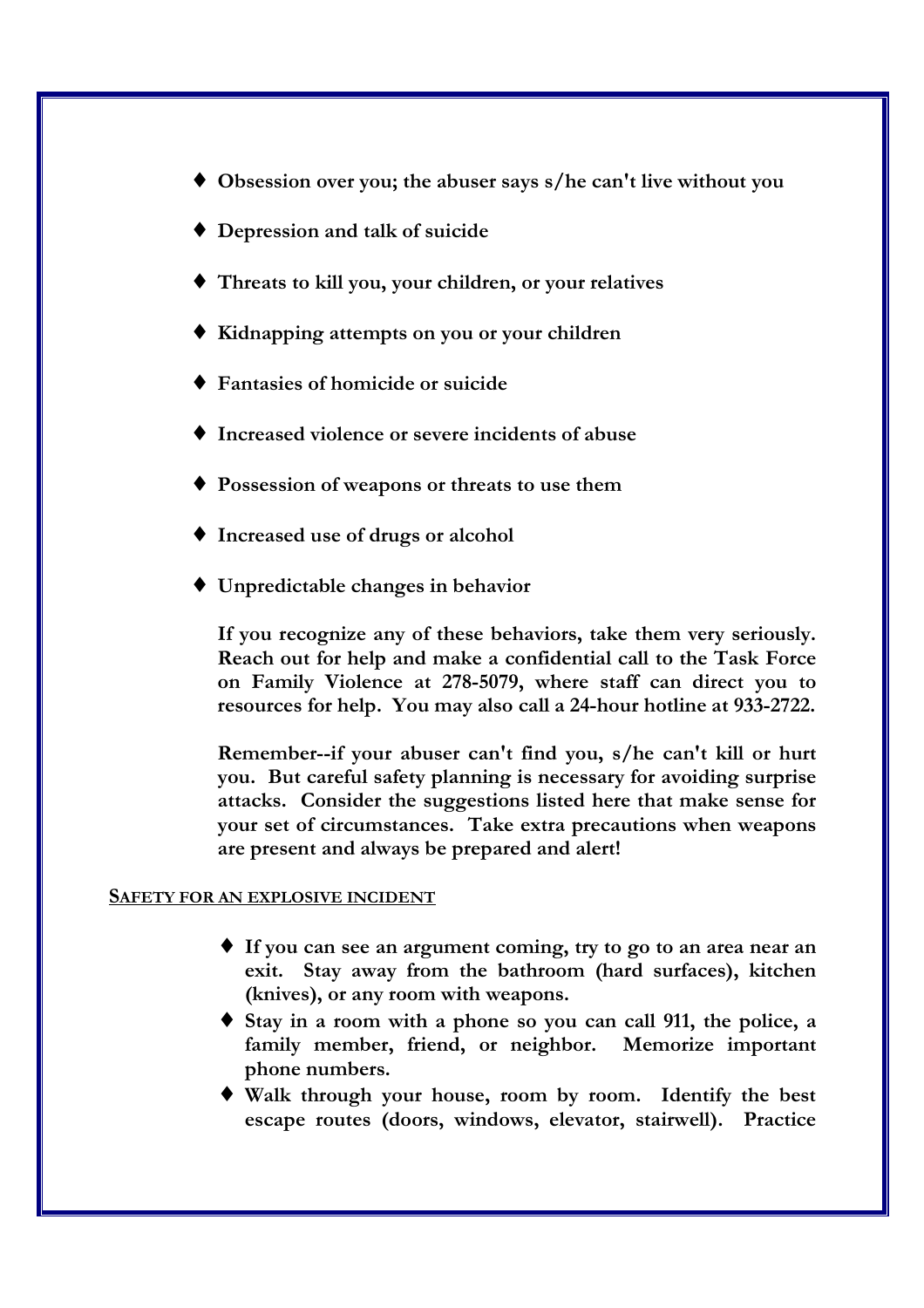- ♦ **Obsession over you; the abuser says s/he can't live without you**
- ♦ **Depression and talk of suicide**
- ♦ **Threats to kill you, your children, or your relatives**
- ♦ **Kidnapping attempts on you or your children**
- ♦ **Fantasies of homicide or suicide**
- ♦ **Increased violence or severe incidents of abuse**
- ♦ **Possession of weapons or threats to use them**
- ♦ **Increased use of drugs or alcohol**
- ♦ **Unpredictable changes in behavior**

 **If you recognize any of these behaviors, take them very seriously. Reach out for help and make a confidential call to the Task Force on Family Violence at 278-5079, where staff can direct you to resources for help. You may also call a 24-hour hotline at 933-2722.** 

 **Remember--if your abuser can't find you, s/he can't kill or hurt you. But careful safety planning is necessary for avoiding surprise attacks. Consider the suggestions listed here that make sense for your set of circumstances. Take extra precautions when weapons are present and always be prepared and alert!** 

### **SAFETY FOR AN EXPLOSIVE INCIDENT**

- ♦ **If you can see an argument coming, try to go to an area near an exit. Stay away from the bathroom (hard surfaces), kitchen (knives), or any room with weapons.**
- ♦ **Stay in a room with a phone so you can call 911, the police, a**  family member, friend, or neighbor. Memorize important **phone numbers.**
- ♦ **Walk through your house, room by room. Identify the best escape routes (doors, windows, elevator, stairwell). Practice**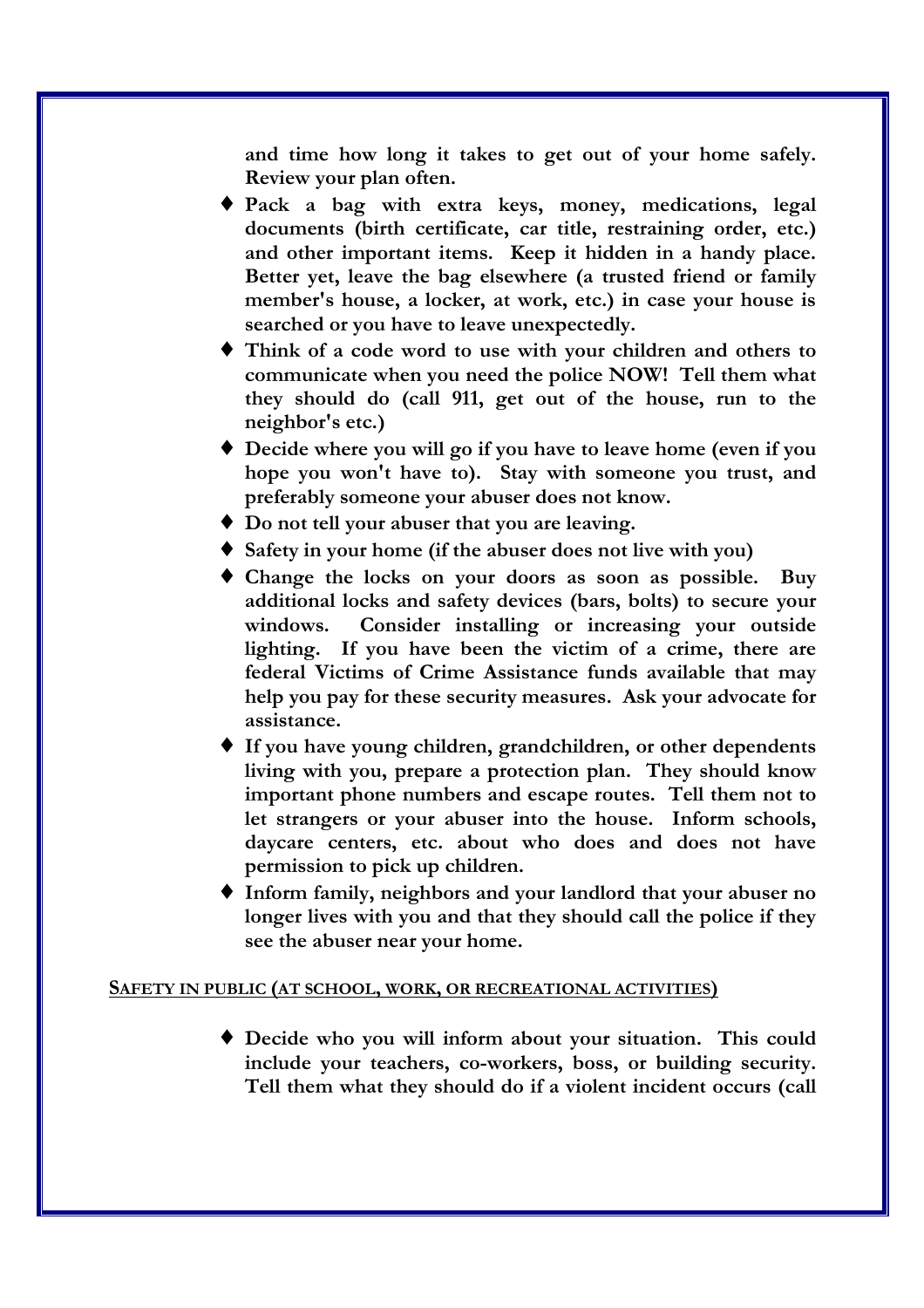**and time how long it takes to get out of your home safely. Review your plan often.** 

- ♦ **Pack a bag with extra keys, money, medications, legal documents (birth certificate, car title, restraining order, etc.) and other important items. Keep it hidden in a handy place. Better yet, leave the bag elsewhere (a trusted friend or family member's house, a locker, at work, etc.) in case your house is searched or you have to leave unexpectedly.**
- ♦ **Think of a code word to use with your children and others to communicate when you need the police NOW! Tell them what they should do (call 911, get out of the house, run to the neighbor's etc.)**
- ♦ **Decide where you will go if you have to leave home (even if you hope you won't have to). Stay with someone you trust, and preferably someone your abuser does not know.**
- ♦ **Do not tell your abuser that you are leaving.**
- ♦ **Safety in your home (if the abuser does not live with you)**
- ♦ **Change the locks on your doors as soon as possible. Buy additional locks and safety devices (bars, bolts) to secure your windows. Consider installing or increasing your outside lighting. If you have been the victim of a crime, there are federal Victims of Crime Assistance funds available that may help you pay for these security measures. Ask your advocate for assistance.**
- ♦ **If you have young children, grandchildren, or other dependents living with you, prepare a protection plan. They should know important phone numbers and escape routes. Tell them not to let strangers or your abuser into the house. Inform schools, daycare centers, etc. about who does and does not have permission to pick up children.**
- ♦ **Inform family, neighbors and your landlord that your abuser no longer lives with you and that they should call the police if they see the abuser near your home.**

### **SAFETY IN PUBLIC (AT SCHOOL, WORK, OR RECREATIONAL ACTIVITIES)**

♦ **Decide who you will inform about your situation. This could include your teachers, co-workers, boss, or building security. Tell them what they should do if a violent incident occurs (call**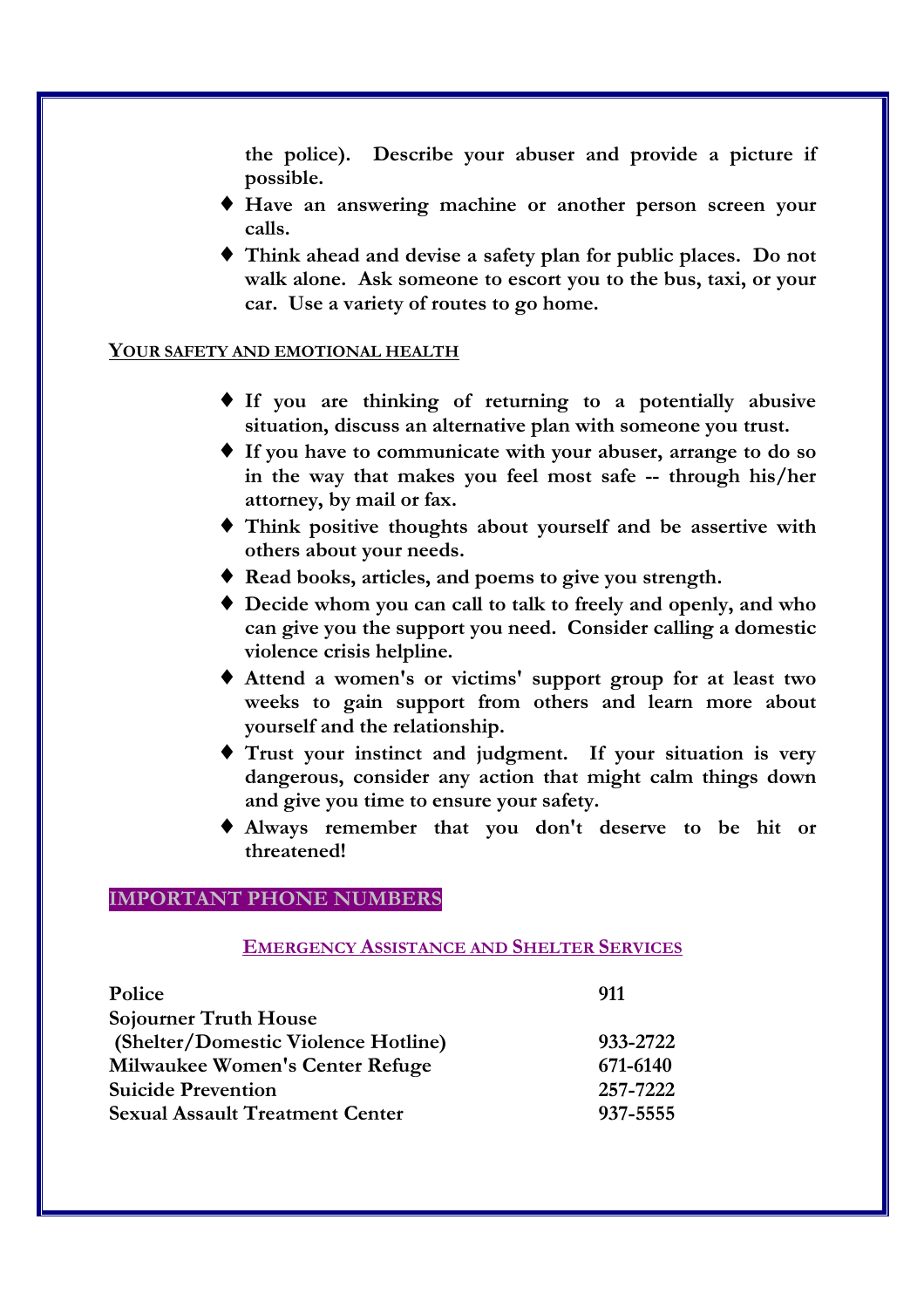**the police). Describe your abuser and provide a picture if possible.**

- ♦ **Have an answering machine or another person screen your calls.**
- ♦ **Think ahead and devise a safety plan for public places. Do not walk alone. Ask someone to escort you to the bus, taxi, or your car. Use a variety of routes to go home.**

### **YOUR SAFETY AND EMOTIONAL HEALTH**

- ♦ **If you are thinking of returning to a potentially abusive situation, discuss an alternative plan with someone you trust.**
- ♦ **If you have to communicate with your abuser, arrange to do so in the way that makes you feel most safe -- through his/her attorney, by mail or fax.**
- ♦ **Think positive thoughts about yourself and be assertive with others about your needs.**
- ♦ **Read books, articles, and poems to give you strength.**
- ♦ **Decide whom you can call to talk to freely and openly, and who can give you the support you need. Consider calling a domestic violence crisis helpline.**
- ♦ **Attend a women's or victims' support group for at least two weeks to gain support from others and learn more about yourself and the relationship.**
- ♦ **Trust your instinct and judgment. If your situation is very dangerous, consider any action that might calm things down and give you time to ensure your safety.**
- ♦ **Always remember that you don't deserve to be hit or threatened!**

### **IMPORTANT PHONE NUMBERS**

### **EMERGENCY ASSISTANCE AND SHELTER SERVICES**

| Police                                 | 911      |
|----------------------------------------|----------|
| <b>Sojourner Truth House</b>           |          |
| (Shelter/Domestic Violence Hotline)    | 933-2722 |
| Milwaukee Women's Center Refuge        | 671-6140 |
| <b>Suicide Prevention</b>              | 257-7222 |
| <b>Sexual Assault Treatment Center</b> | 937-5555 |